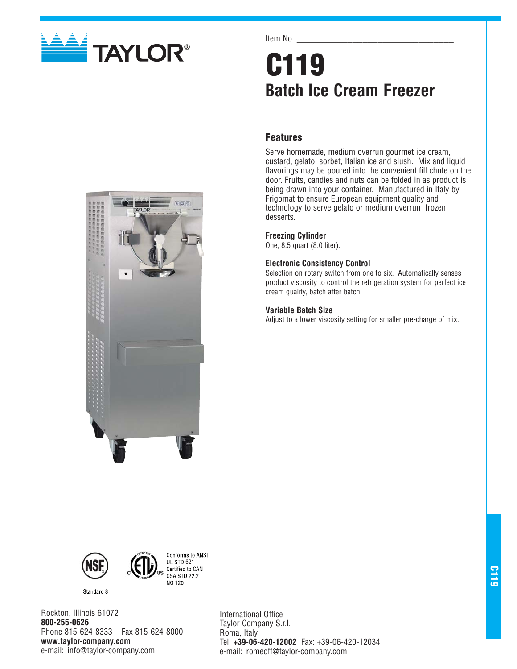

Item No.

# **C119 Batch Ice Cream Freezer**

# **Features**

Serve homemade, medium overrun gourmet ice cream, custard, gelato, sorbet, Italian ice and slush. Mix and liquid flavorings may be poured into the convenient fill chute on the door. Fruits, candies and nuts can be folded in as product is being drawn into your container. Manufactured in Italy by Frigomat to ensure European equipment quality and technology to serve gelato or medium overrun frozen desserts.

## **Freezing Cylinder**

One, 8.5 quart (8.0 liter).

## **Electronic Consistency Control**

Selection on rotary switch from one to six. Automatically senses product viscosity to control the refrigeration system for perfect ice cream quality, batch after batch.

## **Variable Batch Size**

Adjust to a lower viscosity setting for smaller pre-charge of mix.







Rockton, Illinois 61072 **800-255-0626** Phone 815-624-8333 Fax 815-624-8000 **www.taylor-company.com** e-mail: info@taylor-company.com

International Office Taylor Company S.r.l. Roma, Italy Tel: **+39-06-420-12002** Fax: +39-06-420-12034 e-mail: romeoff@taylor-company.com